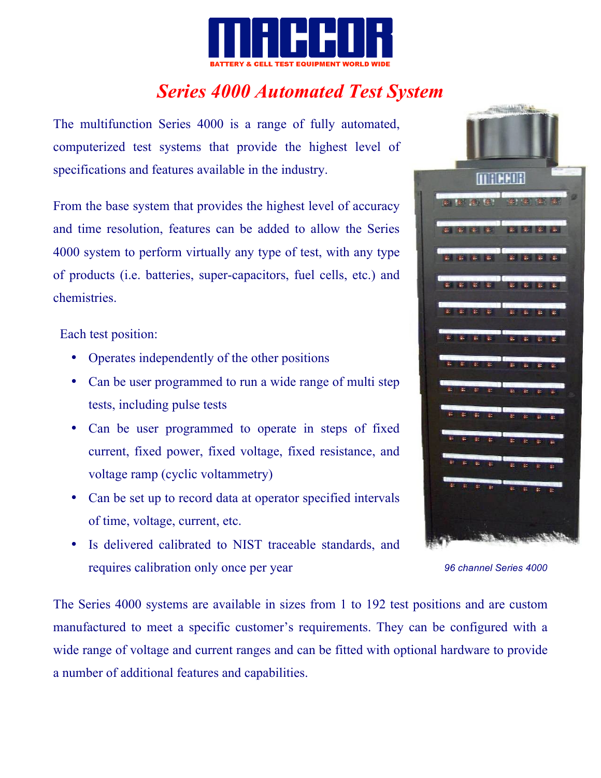

# *Series 4000 Automated Test System*

The multifunction Series 4000 is a range of fully automated, computerized test systems that provide the highest level of specifications and features available in the industry.

From the base system that provides the highest level of accuracy and time resolution, features can be added to allow the Series 4000 system to perform virtually any type of test, with any type of products (i.e. batteries, super-capacitors, fuel cells, etc.) and chemistries.

Each test position:

- Operates independently of the other positions
- Can be user programmed to run a wide range of multi step tests, including pulse tests
- Can be user programmed to operate in steps of fixed current, fixed power, fixed voltage, fixed resistance, and voltage ramp (cyclic voltammetry)
- Can be set up to record data at operator specified intervals of time, voltage, current, etc.
- Is delivered calibrated to NIST traceable standards, and requires calibration only once per year



*96 channel Series 4000*

The Series 4000 systems are available in sizes from 1 to 192 test positions and are custom manufactured to meet a specific customer's requirements. They can be configured with a wide range of voltage and current ranges and can be fitted with optional hardware to provide a number of additional features and capabilities.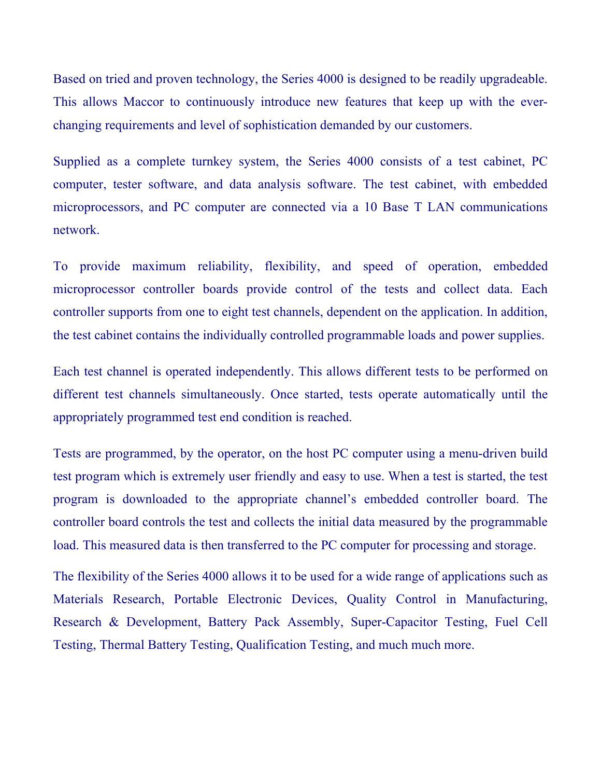Based on tried and proven technology, the Series 4000 is designed to be readily upgradeable. This allows Maccor to continuously introduce new features that keep up with the everchanging requirements and level of sophistication demanded by our customers.

Supplied as a complete turnkey system, the Series 4000 consists of a test cabinet, PC computer, tester software, and data analysis software. The test cabinet, with embedded microprocessors, and PC computer are connected via a 10 Base T LAN communications network.

To provide maximum reliability, flexibility, and speed of operation, embedded microprocessor controller boards provide control of the tests and collect data. Each controller supports from one to eight test channels, dependent on the application. In addition, the test cabinet contains the individually controlled programmable loads and power supplies.

Each test channel is operated independently. This allows different tests to be performed on different test channels simultaneously. Once started, tests operate automatically until the appropriately programmed test end condition is reached.

Tests are programmed, by the operator, on the host PC computer using a menu-driven build test program which is extremely user friendly and easy to use. When a test is started, the test program is downloaded to the appropriate channel's embedded controller board. The controller board controls the test and collects the initial data measured by the programmable load. This measured data is then transferred to the PC computer for processing and storage.

The flexibility of the Series 4000 allows it to be used for a wide range of applications such as Materials Research, Portable Electronic Devices, Quality Control in Manufacturing, Research & Development, Battery Pack Assembly, Super-Capacitor Testing, Fuel Cell Testing, Thermal Battery Testing, Qualification Testing, and much much more.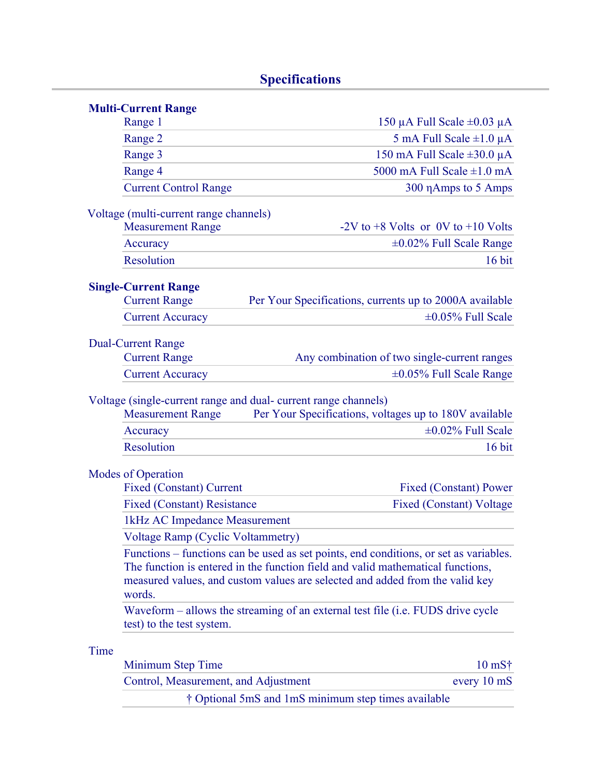## **Specifications**

| <b>Multi-Current Range</b>               |                                                                                                                                                                                                                                                          |
|------------------------------------------|----------------------------------------------------------------------------------------------------------------------------------------------------------------------------------------------------------------------------------------------------------|
| Range 1                                  | 150 µA Full Scale $\pm 0.03$ µA                                                                                                                                                                                                                          |
| Range 2                                  | 5 mA Full Scale $\pm 1.0 \mu A$                                                                                                                                                                                                                          |
| Range 3                                  | 150 mA Full Scale $\pm 30.0 \mu A$                                                                                                                                                                                                                       |
| Range 4                                  | 5000 mA Full Scale $\pm 1.0$ mA                                                                                                                                                                                                                          |
| <b>Current Control Range</b>             | 300 η Amps to 5 Amps                                                                                                                                                                                                                                     |
| Voltage (multi-current range channels)   |                                                                                                                                                                                                                                                          |
| <b>Measurement Range</b>                 | $-2V$ to $+8$ Volts or 0V to $+10$ Volts                                                                                                                                                                                                                 |
| Accuracy                                 | $\pm 0.02\%$ Full Scale Range                                                                                                                                                                                                                            |
| Resolution                               | $16$ bit                                                                                                                                                                                                                                                 |
| <b>Single-Current Range</b>              |                                                                                                                                                                                                                                                          |
| <b>Current Range</b>                     | Per Your Specifications, currents up to 2000A available                                                                                                                                                                                                  |
| <b>Current Accuracy</b>                  | $\pm 0.05\%$ Full Scale                                                                                                                                                                                                                                  |
|                                          |                                                                                                                                                                                                                                                          |
| <b>Dual-Current Range</b>                |                                                                                                                                                                                                                                                          |
| <b>Current Range</b>                     | Any combination of two single-current ranges                                                                                                                                                                                                             |
| <b>Current Accuracy</b>                  | $\pm 0.05\%$ Full Scale Range                                                                                                                                                                                                                            |
| <b>Measurement Range</b><br>Accuracy     | Per Your Specifications, voltages up to 180V available<br>$\pm 0.02\%$ Full Scale                                                                                                                                                                        |
| <b>Resolution</b>                        | 16 bit                                                                                                                                                                                                                                                   |
| <b>Modes of Operation</b>                |                                                                                                                                                                                                                                                          |
| <b>Fixed (Constant) Current</b>          | <b>Fixed (Constant) Power</b>                                                                                                                                                                                                                            |
| <b>Fixed (Constant) Resistance</b>       | <b>Fixed (Constant) Voltage</b>                                                                                                                                                                                                                          |
| 1kHz AC Impedance Measurement            |                                                                                                                                                                                                                                                          |
| <b>Voltage Ramp (Cyclic Voltammetry)</b> |                                                                                                                                                                                                                                                          |
| words.                                   | Functions – functions can be used as set points, end conditions, or set as variables.<br>The function is entered in the function field and valid mathematical functions,<br>measured values, and custom values are selected and added from the valid key |
| test) to the test system.                | Waveform – allows the streaming of an external test file (i.e. FUDS drive cycle                                                                                                                                                                          |
| Time                                     |                                                                                                                                                                                                                                                          |
| Minimum Step Time                        | $10 \text{ mS}$ †                                                                                                                                                                                                                                        |
| Control, Measurement, and Adjustment     | every 10 mS                                                                                                                                                                                                                                              |
|                                          | † Optional 5mS and 1mS minimum step times available                                                                                                                                                                                                      |